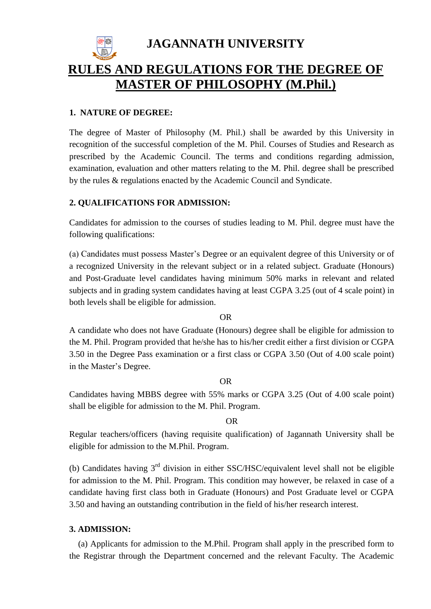**JAGANNATH UNIVERSITY RULES AND REGULATIONS FOR THE DEGREE OF MASTER OF PHILOSOPHY (M.Phil.)**

# **1. NATURE OF DEGREE:**

The degree of Master of Philosophy (M. Phil.) shall be awarded by this University in recognition of the successful completion of the M. Phil. Courses of Studies and Research as prescribed by the Academic Council. The terms and conditions regarding admission, examination, evaluation and other matters relating to the M. Phil. degree shall be prescribed by the rules & regulations enacted by the Academic Council and Syndicate.

# **2. QUALIFICATIONS FOR ADMISSION:**

Candidates for admission to the courses of studies leading to M. Phil. degree must have the following qualifications:

(a) Candidates must possess Master's Degree or an equivalent degree of this University or of a recognized University in the relevant subject or in a related subject. Graduate (Honours) and Post-Graduate level candidates having minimum 50% marks in relevant and related subjects and in grading system candidates having at least CGPA 3.25 (out of 4 scale point) in both levels shall be eligible for admission.

OR

A candidate who does not have Graduate (Honours) degree shall be eligible for admission to the M. Phil. Program provided that he/she has to his/her credit either a first division or CGPA 3.50 in the Degree Pass examination or a first class or CGPA 3.50 (Out of 4.00 scale point) in the Master's Degree.

# OR

Candidates having MBBS degree with 55% marks or CGPA 3.25 (Out of 4.00 scale point) shall be eligible for admission to the M. Phil. Program.

## OR

Regular teachers/officers (having requisite qualification) of Jagannath University shall be eligible for admission to the M.Phil. Program.

(b) Candidates having  $3<sup>rd</sup>$  division in either SSC/HSC/equivalent level shall not be eligible for admission to the M. Phil. Program. This condition may however, be relaxed in case of a candidate having first class both in Graduate (Honours) and Post Graduate level or CGPA 3.50 and having an outstanding contribution in the field of his/her research interest.

# **3. ADMISSION:**

(a) Applicants for admission to the M.Phil. Program shall apply in the prescribed form to the Registrar through the Department concerned and the relevant Faculty. The Academic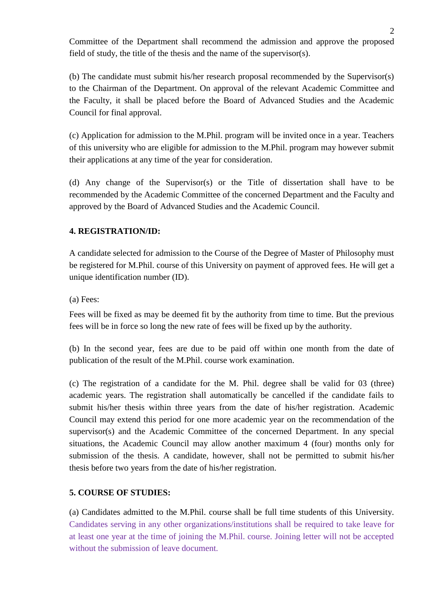Committee of the Department shall recommend the admission and approve the proposed field of study, the title of the thesis and the name of the supervisor(s).

(b) The candidate must submit his/her research proposal recommended by the Supervisor(s) to the Chairman of the Department. On approval of the relevant Academic Committee and the Faculty, it shall be placed before the Board of Advanced Studies and the Academic Council for final approval.

(c) Application for admission to the M.Phil. program will be invited once in a year. Teachers of this university who are eligible for admission to the M.Phil. program may however submit their applications at any time of the year for consideration.

(d) Any change of the Supervisor(s) or the Title of dissertation shall have to be recommended by the Academic Committee of the concerned Department and the Faculty and approved by the Board of Advanced Studies and the Academic Council.

# **4. REGISTRATION/ID:**

A candidate selected for admission to the Course of the Degree of Master of Philosophy must be registered for M.Phil. course of this University on payment of approved fees. He will get a unique identification number (ID).

(a) Fees:

Fees will be fixed as may be deemed fit by the authority from time to time. But the previous fees will be in force so long the new rate of fees will be fixed up by the authority.

(b) In the second year, fees are due to be paid off within one month from the date of publication of the result of the M.Phil. course work examination.

(c) The registration of a candidate for the M. Phil. degree shall be valid for 03 (three) academic years. The registration shall automatically be cancelled if the candidate fails to submit his/her thesis within three years from the date of his/her registration. Academic Council may extend this period for one more academic year on the recommendation of the supervisor(s) and the Academic Committee of the concerned Department. In any special situations, the Academic Council may allow another maximum 4 (four) months only for submission of the thesis. A candidate, however, shall not be permitted to submit his/her thesis before two years from the date of his/her registration.

# **5. COURSE OF STUDIES:**

(a) Candidates admitted to the M.Phil. course shall be full time students of this University. Candidates serving in any other organizations/institutions shall be required to take leave for at least one year at the time of joining the M.Phil. course. Joining letter will not be accepted without the submission of leave document.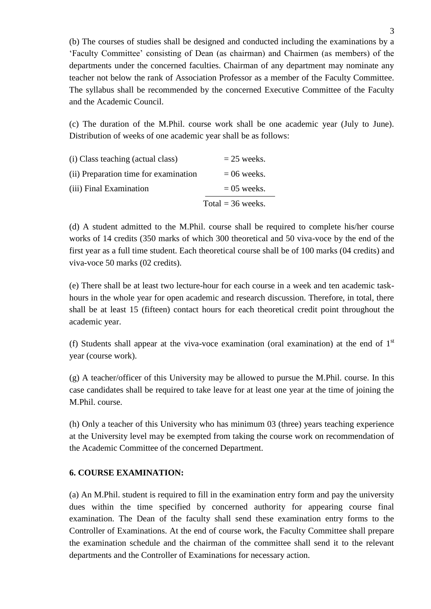(b) The courses of studies shall be designed and conducted including the examinations by a 'Faculty Committee' consisting of Dean (as chairman) and Chairmen (as members) of the departments under the concerned faculties. Chairman of any department may nominate any teacher not below the rank of Association Professor as a member of the Faculty Committee. The syllabus shall be recommended by the concerned Executive Committee of the Faculty and the Academic Council.

(c) The duration of the M.Phil. course work shall be one academic year (July to June). Distribution of weeks of one academic year shall be as follows:

| (i) Class teaching (actual class)     | $= 25$ weeks.       |
|---------------------------------------|---------------------|
| (ii) Preparation time for examination | $= 06$ weeks.       |
| (iii) Final Examination               | $= 05$ weeks.       |
|                                       | Total = $36$ weeks. |

(d) A student admitted to the M.Phil. course shall be required to complete his/her course works of 14 credits (350 marks of which 300 theoretical and 50 viva-voce by the end of the first year as a full time student. Each theoretical course shall be of 100 marks (04 credits) and viva-voce 50 marks (02 credits).

(e) There shall be at least two lecture-hour for each course in a week and ten academic taskhours in the whole year for open academic and research discussion. Therefore, in total, there shall be at least 15 (fifteen) contact hours for each theoretical credit point throughout the academic year.

(f) Students shall appear at the viva-voce examination (oral examination) at the end of  $1<sup>st</sup>$ year (course work).

(g) A teacher/officer of this University may be allowed to pursue the M.Phil. course. In this case candidates shall be required to take leave for at least one year at the time of joining the M.Phil. course.

(h) Only a teacher of this University who has minimum 03 (three) years teaching experience at the University level may be exempted from taking the course work on recommendation of the Academic Committee of the concerned Department.

# **6. COURSE EXAMINATION:**

(a) An M.Phil. student is required to fill in the examination entry form and pay the university dues within the time specified by concerned authority for appearing course final examination. The Dean of the faculty shall send these examination entry forms to the Controller of Examinations. At the end of course work, the Faculty Committee shall prepare the examination schedule and the chairman of the committee shall send it to the relevant departments and the Controller of Examinations for necessary action.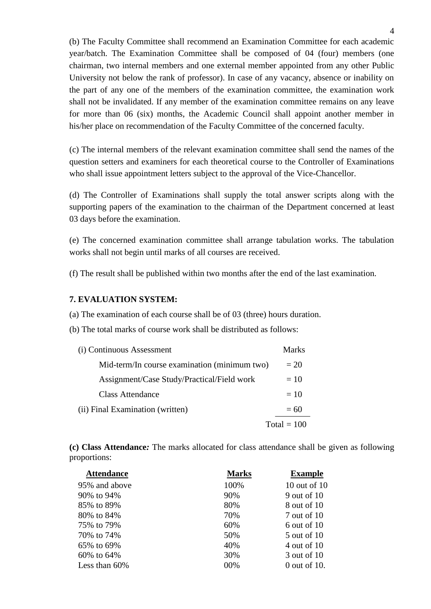(b) The Faculty Committee shall recommend an Examination Committee for each academic year/batch. The Examination Committee shall be composed of 04 (four) members (one chairman, two internal members and one external member appointed from any other Public University not below the rank of professor). In case of any vacancy, absence or inability on the part of any one of the members of the examination committee, the examination work shall not be invalidated. If any member of the examination committee remains on any leave for more than 06 (six) months, the Academic Council shall appoint another member in his/her place on recommendation of the Faculty Committee of the concerned faculty.

(c) The internal members of the relevant examination committee shall send the names of the question setters and examiners for each theoretical course to the Controller of Examinations who shall issue appointment letters subject to the approval of the Vice-Chancellor.

(d) The Controller of Examinations shall supply the total answer scripts along with the supporting papers of the examination to the chairman of the Department concerned at least 03 days before the examination.

(e) The concerned examination committee shall arrange tabulation works. The tabulation works shall not begin until marks of all courses are received.

(f) The result shall be published within two months after the end of the last examination.

## **7. EVALUATION SYSTEM:**

(a) The examination of each course shall be of 03 (three) hours duration.

(b) The total marks of course work shall be distributed as follows:

| (i) Continuous Assessment                    | Marks         |
|----------------------------------------------|---------------|
| Mid-term/In course examination (minimum two) | $=20$         |
| Assignment/Case Study/Practical/Field work   | $=10$         |
| <b>Class Attendance</b>                      | $=10$         |
| (ii) Final Examination (written)             | $= 60$        |
|                                              | $Total = 100$ |

**(c) Class Attendance***:* The marks allocated for class attendance shall be given as following proportions:

| <b>Attendance</b> | <b>Marks</b> | <b>Example</b> |
|-------------------|--------------|----------------|
| 95% and above     | 100%         | 10 out of 10   |
| 90% to 94%        | 90%          | 9 out of 10    |
| 85% to 89%        | 80%          | 8 out of 10    |
| 80\% to 84\%      | 70%          | 7 out of 10    |
| 75% to 79%        | 60%          | 6 out of $10$  |
| 70\% to 74\%      | 50%          | 5 out of 10    |
| 65% to 69%        | 40%          | 4 out of 10    |
| $60\%$ to $64\%$  | 30%          | 3 out of 10    |
| Less than $60\%$  | 00%          | $0$ out of 10. |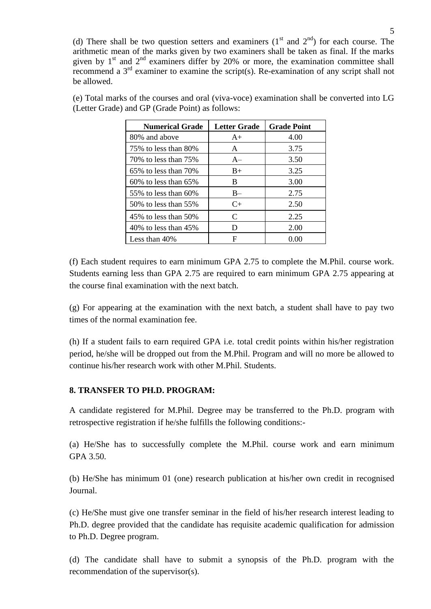(d) There shall be two question setters and examiners  $(1<sup>st</sup>$  and  $2<sup>nd</sup>)$  for each course. The arithmetic mean of the marks given by two examiners shall be taken as final. If the marks given by  $1<sup>st</sup>$  and  $2<sup>nd</sup>$  examiners differ by 20% or more, the examination committee shall recommend a  $3<sup>rd</sup>$  examiner to examine the script(s). Re-examination of any script shall not be allowed.

| <b>Numerical Grade</b>     | <b>Letter Grade</b> | <b>Grade Point</b> |
|----------------------------|---------------------|--------------------|
| 80% and above              | $A+$                | 4.00               |
| 75% to less than 80%       | A                   | 3.75               |
| 70\% to less than 75\%     | $A-$                | 3.50               |
| $65\%$ to less than $70\%$ | $B+$                | 3.25               |
| $60\%$ to less than $65\%$ | B                   | 3.00               |
| 55\% to less than 60\%     | $B -$               | 2.75               |
| 50% to less than 55%       | $C+$                | 2.50               |
| 45% to less than 50%       | C                   | 2.25               |
| 40\% to less than $45\%$   | D                   | 2.00               |
| Less than $40\%$           | F                   | 0.00               |

(e) Total marks of the courses and oral (viva-voce) examination shall be converted into LG (Letter Grade) and GP (Grade Point) as follows:

(f) Each student requires to earn minimum GPA 2.75 to complete the M.Phil. course work. Students earning less than GPA 2.75 are required to earn minimum GPA 2.75 appearing at the course final examination with the next batch.

(g) For appearing at the examination with the next batch, a student shall have to pay two times of the normal examination fee.

(h) If a student fails to earn required GPA i.e. total credit points within his/her registration period, he/she will be dropped out from the M.Phil. Program and will no more be allowed to continue his/her research work with other M.Phil. Students.

## **8. TRANSFER TO PH.D. PROGRAM:**

A candidate registered for M.Phil. Degree may be transferred to the Ph.D. program with retrospective registration if he/she fulfills the following conditions:-

(a) He/She has to successfully complete the M.Phil. course work and earn minimum GPA 3.50.

(b) He/She has minimum 01 (one) research publication at his/her own credit in recognised Journal.

(c) He/She must give one transfer seminar in the field of his/her research interest leading to Ph.D. degree provided that the candidate has requisite academic qualification for admission to Ph.D. Degree program.

(d) The candidate shall have to submit a synopsis of the Ph.D. program with the recommendation of the supervisor(s).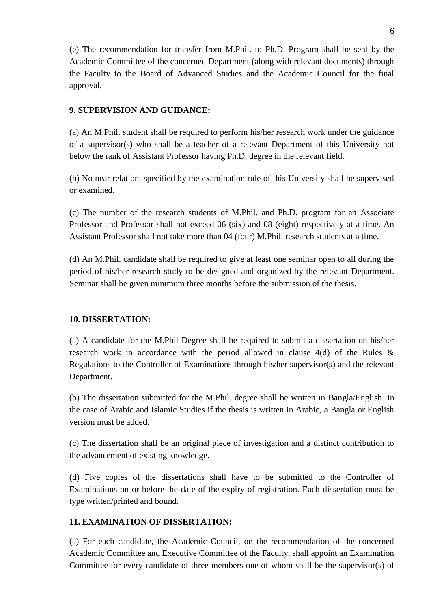(e) The recommendation for transfer from M.Phil. to Ph.D. Program shall be sent by the Academic Committee of the concerned Department (along with relevant documents) through the Faculty to the Board of Advanced Studies and the Academic Council for the final approval.

## **9. SUPERVISION AND GUIDANCE:**

(a) An M.Phil. student shall be required to perform his/her research work under the guidance of a supervisor(s) who shall be a teacher of a relevant Department of this University not below the rank of Assistant Professor having Ph.D. degree in the relevant field.

(b) No near relation, specified by the examination rule of this University shall be supervised or examined.

(c) The number of the research students of M.Phil. and Ph.D. program for an Associate Professor and Professor shall not exceed 06 (six) and 08 (eight) respectively at a time. An Assistant Professor shall not take more than 04 (four) M.Phil. research students at a time.

(d) An M.Phil. candidate shall be required to give at least one seminar open to all during the period of his/her research study to be designed and organized by the relevant Department. Seminar shall be given minimum three months before the submission of the thesis.

## **10. DISSERTATION:**

(a) A candidate for the M.Phil Degree shall be required to submit a dissertation on his/her research work in accordance with the period allowed in clause 4(d) of the Rules & Regulations to the Controller of Examinations through his/her supervisor(s) and the relevant Department.

(b) The dissertation submitted for the M.Phil. degree shall be written in Bangla/English. In the case of Arabic and Islamic Studies if the thesis is written in Arabic, a Bangla or English version must be added.

(c) The dissertation shall be an original piece of investigation and a distinct contribution to the advancement of existing knowledge.

(d) Five copies of the dissertations shall have to be submitted to the Controller of Examinations on or before the date of the expiry of registration. Each dissertation must be type written/printed and bound.

## **11. EXAMINATION OF DISSERTATION:**

(a) For each candidate, the Academic Council, on the recommendation of the concerned Academic Committee and Executive Committee of the Faculty, shall appoint an Examination Committee for every candidate of three members one of whom shall be the supervisor(s) of